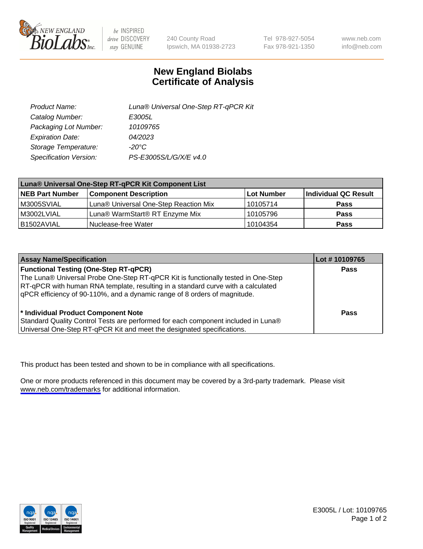

be INSPIRED drive DISCOVERY stay GENUINE

240 County Road Ipswich, MA 01938-2723 Tel 978-927-5054 Fax 978-921-1350

www.neb.com info@neb.com

## **New England Biolabs Certificate of Analysis**

| Product Name:           | Luna® Universal One-Step RT-qPCR Kit |
|-------------------------|--------------------------------------|
| Catalog Number:         | E3005L                               |
| Packaging Lot Number:   | 10109765                             |
| <b>Expiration Date:</b> | 04/2023                              |
| Storage Temperature:    | $-20^{\circ}$ C                      |
| Specification Version:  | PS-E3005S/L/G/X/E v4.0               |

| Luna® Universal One-Step RT-qPCR Kit Component List |                                       |              |                      |  |
|-----------------------------------------------------|---------------------------------------|--------------|----------------------|--|
| <b>NEB Part Number</b>                              | <b>Component Description</b>          | l Lot Number | Individual QC Result |  |
| M3005SVIAL                                          | Luna® Universal One-Step Reaction Mix | 10105714     | <b>Pass</b>          |  |
| M3002LVIAL                                          | Luna® WarmStart® RT Enzyme Mix        | 10105796     | <b>Pass</b>          |  |
| B1502AVIAL                                          | Nuclease-free Water                   | 10104354     | <b>Pass</b>          |  |

| <b>Assay Name/Specification</b>                                                                                                                                                                                                                                                                    | Lot #10109765 |
|----------------------------------------------------------------------------------------------------------------------------------------------------------------------------------------------------------------------------------------------------------------------------------------------------|---------------|
| <b>Functional Testing (One-Step RT-qPCR)</b><br>The Luna® Universal Probe One-Step RT-qPCR Kit is functionally tested in One-Step<br>RT-qPCR with human RNA template, resulting in a standard curve with a calculated<br>gPCR efficiency of 90-110%, and a dynamic range of 8 orders of magnitude. | <b>Pass</b>   |
| <sup>*</sup> Individual Product Component Note<br>Standard Quality Control Tests are performed for each component included in Luna®<br>Universal One-Step RT-qPCR Kit and meet the designated specifications.                                                                                      | Pass          |

This product has been tested and shown to be in compliance with all specifications.

One or more products referenced in this document may be covered by a 3rd-party trademark. Please visit <www.neb.com/trademarks>for additional information.